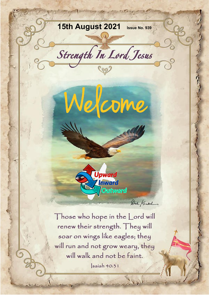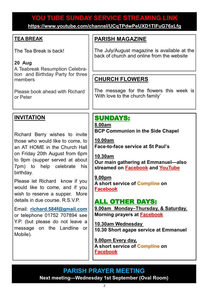## **YOU TUBE SUNDAY SERVICE STREAMING LINK YOU TUBE SUNDAY SERVICE STREAMING LINK**

**[https://www.youtube.com/channel/UCqTPdwPeUXD1TIFuG76xLfg](https://nam12.safelinks.protection.outlook.com/?url=https%3A%2F%2Fwww.youtube.com%2Fchannel%2FUCqTPdwPeUXD1TIFuG76xLfg&data=04%7C01%7C%7C98819de32b254e54143f08d89b609eed%7C84df9e7fe9f640afb435aaaaaaaaaaaa%7C1%7C0%7C637430186562964999%7CUnknown%7CTWFpbGZsb3d8e) <https://www.youtube.com/channel/UCqTPdwPeUXD1TIFuG76xLfg>**

#### **TEA BREAK**

The Tea Break is back!

#### **20 Aug**

A Teabreak Resumption Celebration and Birthday Party for three members

Please book ahead with Richard or Peter

# **PARISH MAGAZINE**

The July/August magazine is available at the back of church and online from the website

### **CHURCH FLOWERS**

The message for the flowers this week is 'With love to the church family'

#### **INVITATION**

Richard Berry wishes to invite those who would like to come, to an AT HOME in the Church Hall on Friday 20th August from 6pm to 9pm (supper served at about 7pm) to help celebrate his birthday.

Please let Richard know if you would like to come, and if you wish to reserve a supper. More details in due course. R.S.V.P.

Email: **[richard.584f@gmail.com](mailto:richard.584f@gmail.com)** or telephone 01752 707894 see Y.P. (but please do not leave a message on the Landline or Mobile).

## SUNDAYS:

**8.00am BCP Communion in the Side Chapel**

**10.00am Face-to-face service at St Paul's** 

**10.30am Our main gathering at Emmanuel—also streamed on [Facebook](https://www.facebook.com/emmanuelwithstpauls/) and [YouTube](https://www.youtube.com/channel/UCqTPdwPeUXD1TIFuG76xLfg)**

**9.00pm A short service of [Compline](https://www.emmanuelplymouth.co.uk/Publisher/File.aspx?ID=259665) on [Facebook](https://www.facebook.com/emmanuelwithstpauls/)**

### ALL OTHER DAYS:

**9.00am Monday–Thursday, & Saturday**, **Morning prayers at [Facebook](https://www.facebook.com/emmanuelwithstpauls/)**

**10.30am Wednesday 10.30 Short agape service at Emmanuel**

**9.00pm Every day, A short service of [Compline](https://www.emmanuelplymouth.co.uk/Publisher/File.aspx?ID=259665) on [Facebook](https://www.facebook.com/emmanuelwithstpauls/)**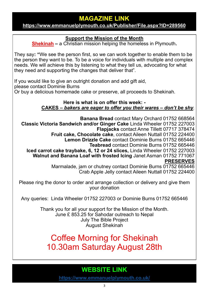## **MAGAZINE LINK**

#### **<https://www.emmanuelplymouth.co.uk/Publisher/File.aspx?ID=289560>**

#### **Support the Mission of the Month**

**[Shekinah](https://www.shekinah.co.uk/) –** a Christian mission helping the homeless in Plymouth**.** 

They say**: "**We see the person first, so we can work together to enable them to be the person they want to be. To be a voice for individuals with multiple and complex needs. We will achieve this by listening to what they tell us, advocating for what they need and supporting the changes that deliver that".

If you would like to give an outright donation and add gift aid, please contact Dominie Burns Or buy a delicious homemade cake or preserve, all proceeds to Shekinah.

#### **Here is what is on offer this week: - CAKES –** *bakers are eager to offer you their wares – don't be shy.*

**Banana Bread** contact Mary Orchard 01752 668564 **Classic Victoria Sandwich and/or Ginger Cake** Linda Wheeler 01752 227003 **Flapjacks** contact Anne Tillett 07717 378474 **Fruit cake, Chocolate cake**, contact Aileen Nuttall 01752 224400 **Lemon Drizzle Cake** contact Dominie Burns 01752 665446 **Teabread** contact Dominie Burns 01752 665446 **Iced carrot cake traybake, 6, 12 or 24 slices,** Linda Wheeler 01752 227003 **Walnut and Banana Loaf with frosted Icing** Janet Asman 01752 771067 **PRESERVES** Marmalade, jam or chutney contact Dominie Burns 01752 665446 Crab Apple Jelly contact Aileen Nuttall 01752 224400

Please ring the donor to order and arrange collection or delivery and give them your donation

Any queries: Linda Wheeler 01752 227003 or Dominie Burns 01752 665446

Thank you for all your support for the Mission of the Month. June £ 853.25 for Sahodar outreach to Nepal July The Bible Project August Shekinah

# Coffee Morning for Shekinah 10.30am Saturday August 28th

# **WEBSITE LINK**

**<https://www.emmanuelplymouth.co.uk/>**